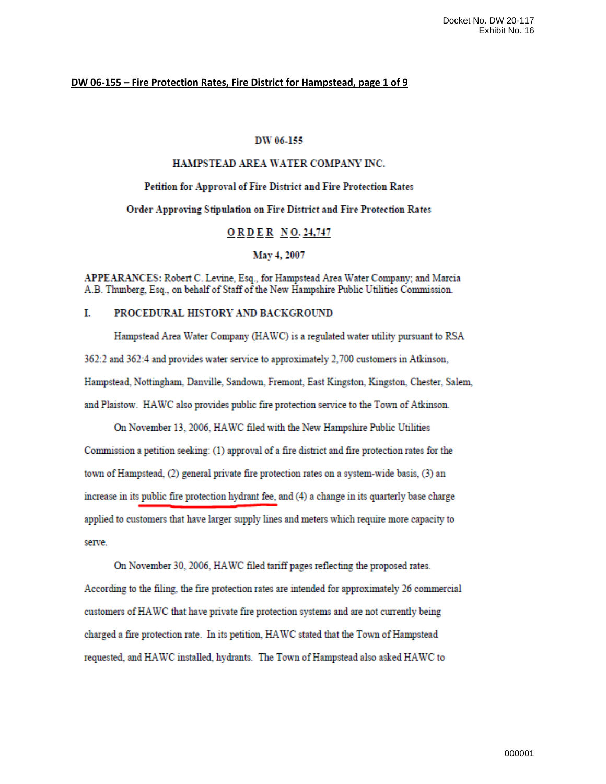## DW 06-155 - Fire Protection Rates, Fire District for Hampstead, page 1 of 9

## DW 06-155

## HAMPSTEAD AREA WATER COMPANY INC.

# Petition for Approval of Fire District and Fire Protection Rates

Order Approving Stipulation on Fire District and Fire Protection Rates

## **ORDER NO. 24,747**

May 4, 2007

APPEARANCES: Robert C. Levine, Esq., for Hampstead Area Water Company; and Marcia A.B. Thunberg, Esq., on behalf of Staff of the New Hampshire Public Utilities Commission.

### T. PROCEDURAL HISTORY AND BACKGROUND

Hampstead Area Water Company (HAWC) is a regulated water utility pursuant to RSA 362:2 and 362:4 and provides water service to approximately 2,700 customers in Atkinson, Hampstead, Nottingham, Danville, Sandown, Fremont, East Kingston, Kingston, Chester, Salem, and Plaistow. HAWC also provides public fire protection service to the Town of Atkinson.

On November 13, 2006, HAWC filed with the New Hampshire Public Utilities Commission a petition seeking: (1) approval of a fire district and fire protection rates for the town of Hampstead, (2) general private fire protection rates on a system-wide basis, (3) an increase in its public fire protection hydrant fee, and (4) a change in its quarterly base charge applied to customers that have larger supply lines and meters which require more capacity to serve

On November 30, 2006, HAWC filed tariff pages reflecting the proposed rates. According to the filing, the fire protection rates are intended for approximately 26 commercial customers of HAWC that have private fire protection systems and are not currently being charged a fire protection rate. In its petition, HAWC stated that the Town of Hampstead requested, and HAWC installed, hydrants. The Town of Hampstead also asked HAWC to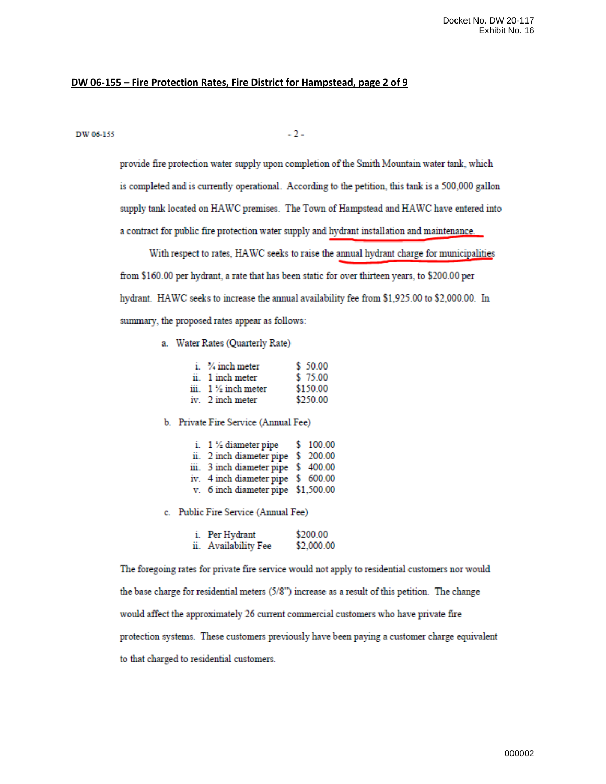## **DW 06-155 – Fire Protection Rates, Fire District for Hampstead, page 2 of 9**

DW 06-155

 $-2-$ 

provide fire protection water supply upon completion of the Smith Mountain water tank, which is completed and is currently operational. According to the petition, this tank is a 500,000 gallon supply tank located on HAWC premises. The Town of Hampstead and HAWC have entered into a contract for public fire protection water supply and hydrant installation and maintenance.

With respect to rates, HAWC seeks to raise the annual hydrant charge for municipalities from \$160.00 per hydrant, a rate that has been static for over thirteen years, to \$200.00 per hydrant. HAWC seeks to increase the annual availability fee from \$1,925.00 to \$2,000.00. In summary, the proposed rates appear as follows:

a. Water Rates (Quarterly Rate)

| $i.$ $\frac{3}{4}$ inch meter  | \$ 50.00 |
|--------------------------------|----------|
| ii. 1 inch meter               | \$75.00  |
| iii. $1\frac{1}{2}$ inch meter | \$150.00 |
| iv. 2 inch meter               | \$250.00 |

b. Private Fire Service (Annual Fee)

| i. $1\frac{1}{2}$ diameter pipe     | \$100.00 |
|-------------------------------------|----------|
| ii. 2 inch diameter pipe \$ 200.00  |          |
| iii. 3 inch diameter pipe \$ 400.00 |          |
| iv. 4 inch diameter pipe \$ 600.00  |          |
| v. 6 inch diameter pipe \$1,500.00  |          |

- 
- c. Public Fire Service (Annual Fee)

| i. Per Hydrant       | \$200.00   |  |
|----------------------|------------|--|
| ii. Availability Fee | \$2,000.00 |  |

The foregoing rates for private fire service would not apply to residential customers nor would the base charge for residential meters (5/8") increase as a result of this petition. The change would affect the approximately 26 current commercial customers who have private fire protection systems. These customers previously have been paying a customer charge equivalent to that charged to residential customers.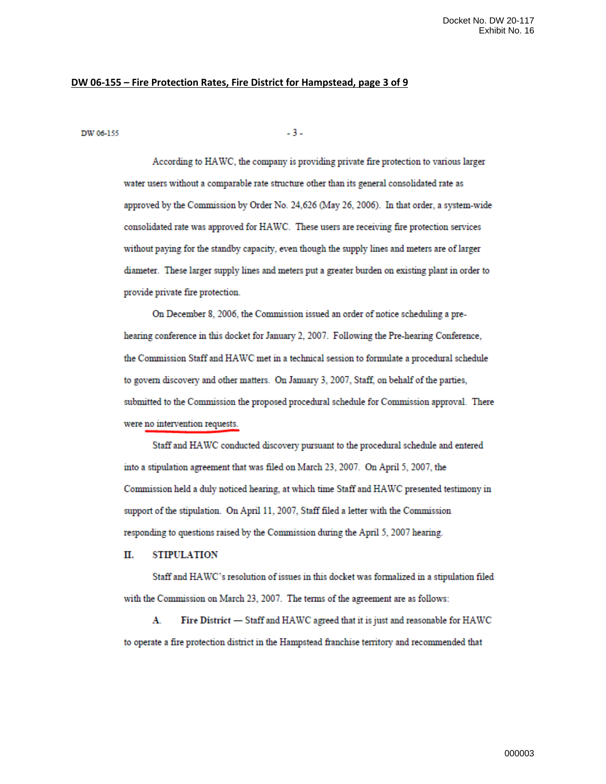## **DW 06-155 – Fire Protection Rates, Fire District for Hampstead, page 3 of 9**

DW 06-155

 $-3-$ 

According to HAWC, the company is providing private fire protection to various larger water users without a comparable rate structure other than its general consolidated rate as approved by the Commission by Order No. 24,626 (May 26, 2006). In that order, a system-wide consolidated rate was approved for HAWC. These users are receiving fire protection services without paying for the standby capacity, even though the supply lines and meters are of larger diameter. These larger supply lines and meters put a greater burden on existing plant in order to provide private fire protection.

On December 8, 2006, the Commission issued an order of notice scheduling a prehearing conference in this docket for January 2, 2007. Following the Pre-hearing Conference, the Commission Staff and HAWC met in a technical session to formulate a procedural schedule to govern discovery and other matters. On January 3, 2007, Staff, on behalf of the parties, submitted to the Commission the proposed procedural schedule for Commission approval. There were no intervention requests.

Staff and HAWC conducted discovery pursuant to the procedural schedule and entered into a stipulation agreement that was filed on March 23, 2007. On April 5, 2007, the Commission held a duly noticed hearing, at which time Staff and HAWC presented testimony in support of the stipulation. On April 11, 2007, Staff filed a letter with the Commission responding to questions raised by the Commission during the April 5, 2007 hearing.

#### Π. **STIPULATION**

Staff and HAWC's resolution of issues in this docket was formalized in a stipulation filed with the Commission on March 23, 2007. The terms of the agreement are as follows:

Fire District - Staff and HAWC agreed that it is just and reasonable for HAWC A. to operate a fire protection district in the Hampstead franchise territory and recommended that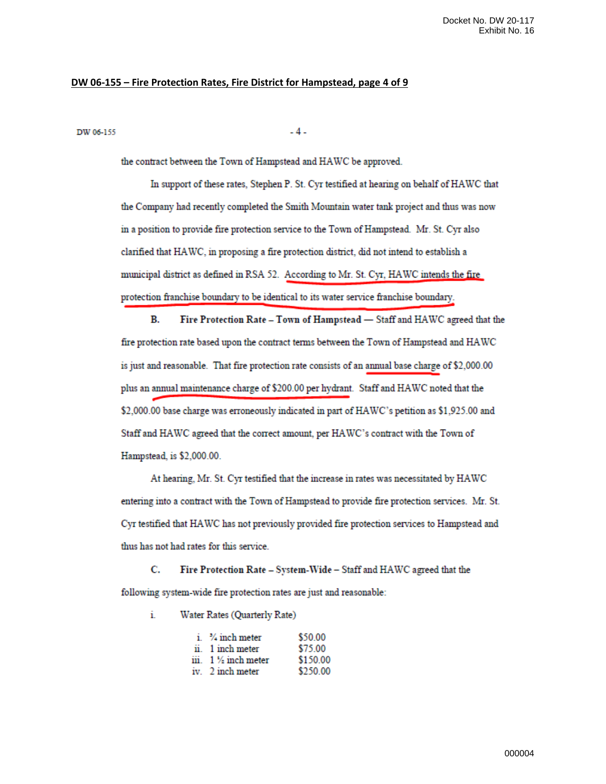## **DW 06-155 – Fire Protection Rates, Fire District for Hampstead, page 4 of 9**

### DW 06-155

 $-4-$ 

the contract between the Town of Hampstead and HAWC be approved.

In support of these rates, Stephen P. St. Cyr testified at hearing on behalf of HAWC that the Company had recently completed the Smith Mountain water tank project and thus was now in a position to provide fire protection service to the Town of Hampstead. Mr. St. Cyr also clarified that HAWC, in proposing a fire protection district, did not intend to establish a municipal district as defined in RSA 52. According to Mr. St. Cyr, HAWC intends the fire protection franchise boundary to be identical to its water service franchise boundary.

B. Fire Protection Rate - Town of Hampstead - Staff and HAWC agreed that the fire protection rate based upon the contract terms between the Town of Hampstead and HAWC is just and reasonable. That fire protection rate consists of an annual base charge of \$2,000.00 plus an annual maintenance charge of \$200.00 per hydrant. Staff and HAWC noted that the \$2,000.00 base charge was erroneously indicated in part of HAWC's petition as \$1,925.00 and Staff and HAWC agreed that the correct amount, per HAWC's contract with the Town of Hampstead, is \$2,000.00.

At hearing, Mr. St. Cyr testified that the increase in rates was necessitated by HAWC entering into a contract with the Town of Hampstead to provide fire protection services. Mr. St. Cyr testified that HAWC has not previously provided fire protection services to Hampstead and thus has not had rates for this service.

C. Fire Protection Rate - System-Wide - Staff and HAWC agreed that the following system-wide fire protection rates are just and reasonable:

Water Rates (Quarterly Rate) i.

| $i.$ $\frac{3}{4}$ inch meter         | \$50.00  |
|---------------------------------------|----------|
| ii. 1 inch meter                      | \$75.00  |
| $\ddot{\text{iii}}$ 1 $\%$ inch meter | \$150.00 |
| iv. 2 inch meter                      | \$250.00 |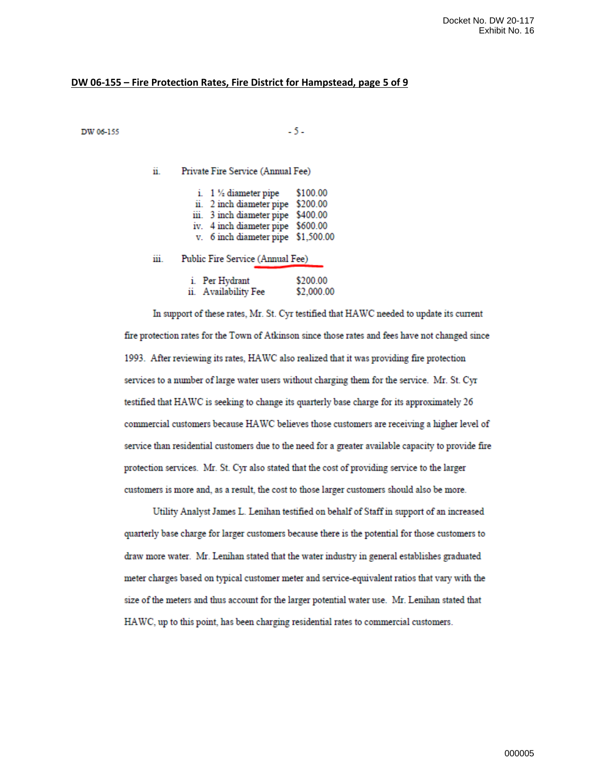## **DW 06-155 – Fire Protection Rates, Fire District for Hampstead, page 5 of 9**

## DW 06-155

 $-5-$ 

ii. Private Fire Service (Annual Fee)

|  | i. $1 \frac{1}{2}$ diameter pipe   | \$100.00 |
|--|------------------------------------|----------|
|  | ii. 2 inch diameter pipe \$200.00  |          |
|  | iii. 3 inch diameter pipe \$400.00 |          |
|  | iv. 4 inch diameter pipe \$600.00  |          |
|  | v. 6 inch diameter pipe \$1,500.00 |          |
|  |                                    |          |

iii. Public Fire Service (Annual Fee)

|     | Per Hydrant      | \$200.00   |
|-----|------------------|------------|
| 11. | Availability Fee | \$2,000.00 |

In support of these rates, Mr. St. Cyr testified that HAWC needed to update its current fire protection rates for the Town of Atkinson since those rates and fees have not changed since 1993. After reviewing its rates, HAWC also realized that it was providing fire protection services to a number of large water users without charging them for the service. Mr. St. Cyr testified that HAWC is seeking to change its quarterly base charge for its approximately 26 commercial customers because HAWC believes those customers are receiving a higher level of service than residential customers due to the need for a greater available capacity to provide fire protection services. Mr. St. Cyr also stated that the cost of providing service to the larger customers is more and, as a result, the cost to those larger customers should also be more.

Utility Analyst James L. Lenihan testified on behalf of Staff in support of an increased quarterly base charge for larger customers because there is the potential for those customers to draw more water. Mr. Lenihan stated that the water industry in general establishes graduated meter charges based on typical customer meter and service-equivalent ratios that vary with the size of the meters and thus account for the larger potential water use. Mr. Lenihan stated that HAWC, up to this point, has been charging residential rates to commercial customers.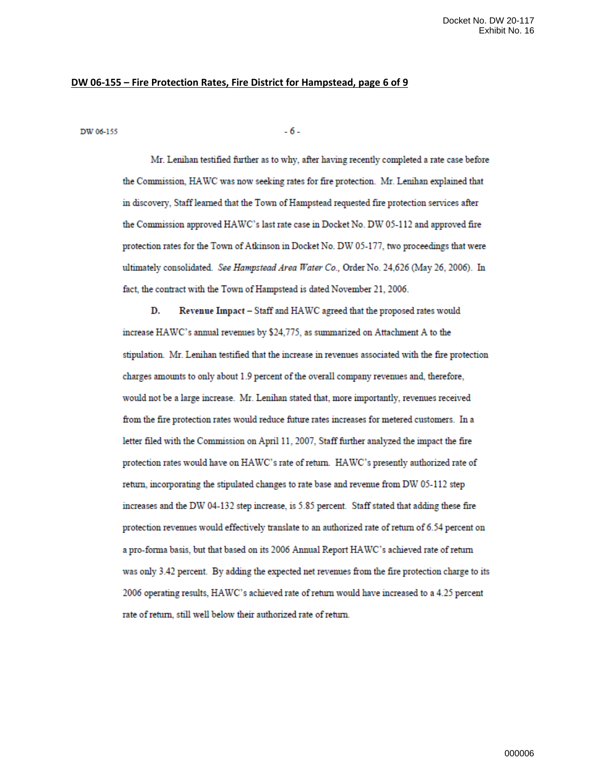## **DW 06-155 – Fire Protection Rates, Fire District for Hampstead, page 6 of 9**

DW 06-155

 $-6-$ 

Mr. Lenihan testified further as to why, after having recently completed a rate case before the Commission, HAWC was now seeking rates for fire protection. Mr. Lenihan explained that in discovery, Staff learned that the Town of Hampstead requested fire protection services after the Commission approved HAWC's last rate case in Docket No. DW 05-112 and approved fire protection rates for the Town of Atkinson in Docket No. DW 05-177, two proceedings that were ultimately consolidated. See Hampstead Area Water Co., Order No. 24,626 (May 26, 2006). In fact, the contract with the Town of Hampstead is dated November 21, 2006.

Revenue Impact - Staff and HAWC agreed that the proposed rates would D. increase HAWC's annual revenues by \$24,775, as summarized on Attachment A to the stipulation. Mr. Lenihan testified that the increase in revenues associated with the fire protection charges amounts to only about 1.9 percent of the overall company revenues and, therefore, would not be a large increase. Mr. Lenihan stated that, more importantly, revenues received from the fire protection rates would reduce future rates increases for metered customers. In a letter filed with the Commission on April 11, 2007, Staff further analyzed the impact the fire protection rates would have on HAWC's rate of return. HAWC's presently authorized rate of return, incorporating the stipulated changes to rate base and revenue from DW 05-112 step increases and the DW 04-132 step increase, is 5.85 percent. Staff stated that adding these fire protection revenues would effectively translate to an authorized rate of return of 6.54 percent on a pro-forma basis, but that based on its 2006 Annual Report HAWC's achieved rate of return was only 3.42 percent. By adding the expected net revenues from the fire protection charge to its 2006 operating results, HAWC's achieved rate of return would have increased to a 4.25 percent rate of return, still well below their authorized rate of return.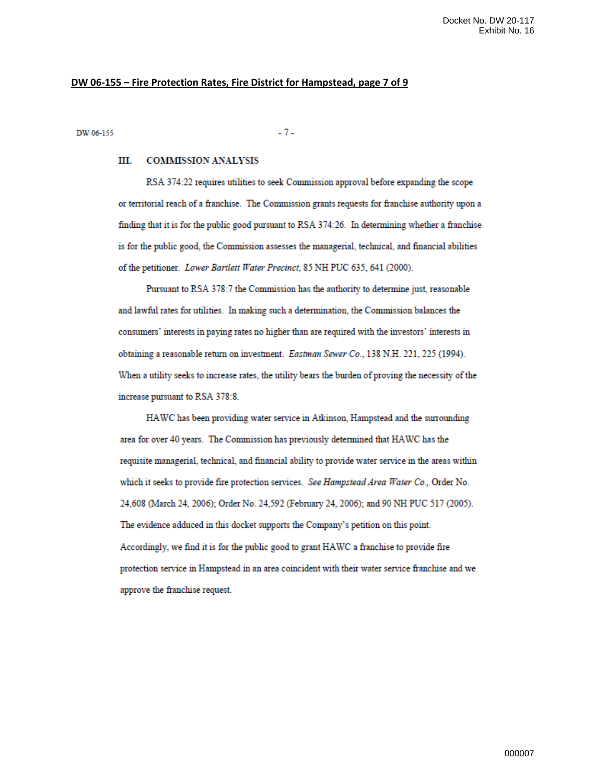## **DW 06-155 – Fire Protection Rates, Fire District for Hampstead, page 7 of 9**

DW 06-155

 $-7-$ 

### III. **COMMISSION ANALYSIS**

RSA 374:22 requires utilities to seek Commission approval before expanding the scope or territorial reach of a franchise. The Commission grants requests for franchise authority upon a finding that it is for the public good pursuant to RSA 374:26. In determining whether a franchise is for the public good, the Commission assesses the managerial, technical, and financial abilities of the petitioner. Lower Bartlett Water Precinct, 85 NH PUC 635, 641 (2000).

Pursuant to RSA 378:7 the Commission has the authority to determine just, reasonable and lawful rates for utilities. In making such a determination, the Commission balances the consumers' interests in paying rates no higher than are required with the investors' interests in obtaining a reasonable return on investment. Eastman Sewer Co., 138 N.H. 221, 225 (1994). When a utility seeks to increase rates, the utility bears the burden of proving the necessity of the increase pursuant to RSA 378:8.

HAWC has been providing water service in Atkinson, Hampstead and the surrounding area for over 40 years. The Commission has previously determined that HAWC has the requisite managerial, technical, and financial ability to provide water service in the areas within which it seeks to provide fire protection services. See Hampstead Area Water Co., Order No. 24,608 (March 24, 2006); Order No. 24,592 (February 24, 2006); and 90 NH PUC 517 (2005). The evidence adduced in this docket supports the Company's petition on this point. Accordingly, we find it is for the public good to grant HAWC a franchise to provide fire protection service in Hampstead in an area coincident with their water service franchise and we approve the franchise request.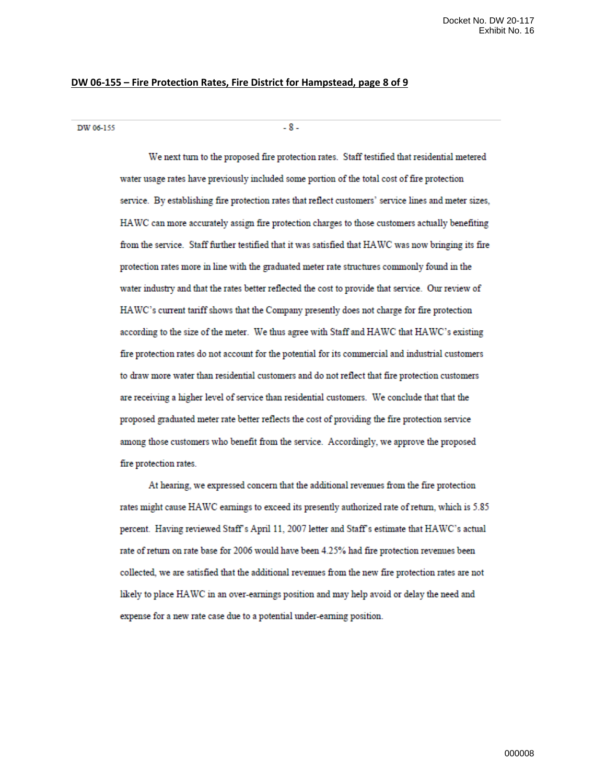## **DW 06-155 – Fire Protection Rates, Fire District for Hampstead, page 8 of 9**

DW 06-155

 $-8-$ 

We next turn to the proposed fire protection rates. Staff testified that residential metered water usage rates have previously included some portion of the total cost of fire protection service. By establishing fire protection rates that reflect customers' service lines and meter sizes, HAWC can more accurately assign fire protection charges to those customers actually benefiting from the service. Staff further testified that it was satisfied that HAWC was now bringing its fire protection rates more in line with the graduated meter rate structures commonly found in the water industry and that the rates better reflected the cost to provide that service. Our review of HAWC's current tariff shows that the Company presently does not charge for fire protection according to the size of the meter. We thus agree with Staff and HAWC that HAWC's existing fire protection rates do not account for the potential for its commercial and industrial customers to draw more water than residential customers and do not reflect that fire protection customers are receiving a higher level of service than residential customers. We conclude that that the proposed graduated meter rate better reflects the cost of providing the fire protection service among those customers who benefit from the service. Accordingly, we approve the proposed fire protection rates.

At hearing, we expressed concern that the additional revenues from the fire protection rates might cause HAWC earnings to exceed its presently authorized rate of return, which is 5.85 percent. Having reviewed Staff's April 11, 2007 letter and Staff's estimate that HAWC's actual rate of return on rate base for 2006 would have been 4.25% had fire protection revenues been collected, we are satisfied that the additional revenues from the new fire protection rates are not likely to place HAWC in an over-earnings position and may help avoid or delay the need and expense for a new rate case due to a potential under-earning position.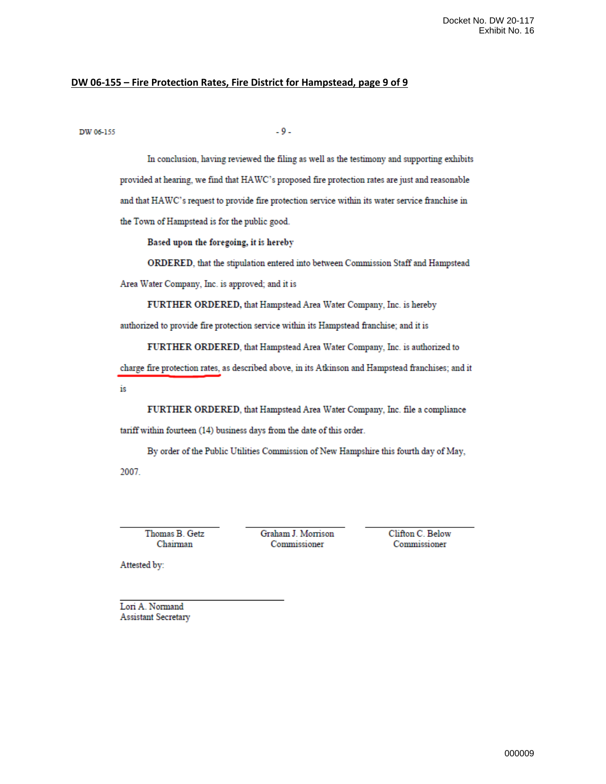## DW 06-155 - Fire Protection Rates, Fire District for Hampstead, page 9 of 9

DW 06-155

 $-9-$ 

In conclusion, having reviewed the filing as well as the testimony and supporting exhibits provided at hearing, we find that HAWC's proposed fire protection rates are just and reasonable and that HAWC's request to provide fire protection service within its water service franchise in the Town of Hampstead is for the public good.

Based upon the foregoing, it is hereby

ORDERED, that the stipulation entered into between Commission Staff and Hampstead Area Water Company, Inc. is approved; and it is

FURTHER ORDERED, that Hampstead Area Water Company, Inc. is hereby

authorized to provide fire protection service within its Hampstead franchise; and it is

FURTHER ORDERED, that Hampstead Area Water Company, Inc. is authorized to

charge fire protection rates, as described above, in its Atkinson and Hampstead franchises; and it is

FURTHER ORDERED, that Hampstead Area Water Company, Inc. file a compliance tariff within fourteen (14) business days from the date of this order.

By order of the Public Utilities Commission of New Hampshire this fourth day of May, 2007.

Thomas B. Getz Chairman

Graham J. Morrison Commissioner

Clifton C. Below Commissioner

Attested by:

Lori A. Normand **Assistant Secretary**